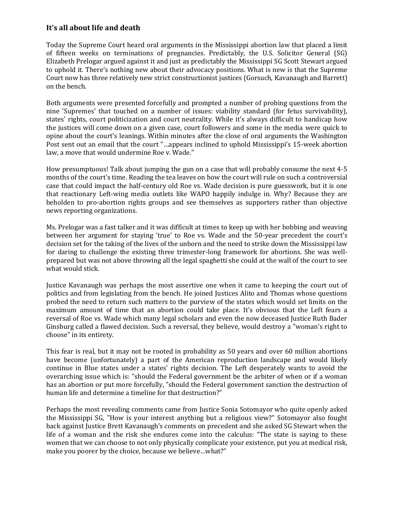## **It's all about life and death**

Today the Supreme Court heard oral arguments in the Mississippi abortion law that placed a limit of fifteen weeks on terminations of pregnancies. Predictably, the U.S. Solicitor General (SG) Elizabeth Prelogar argued against it and just as predictably the Mississippi SG Scott Stewart argued to uphold it. There's nothing new about their advocacy positions. What is new is that the Supreme Court now has three relatively new strict constructionist justices (Gorsuch, Kavanaugh and Barrett) on the bench.

Both arguments were presented forcefully and prompted a number of probing questions from the nine 'Supremes' that touched on a number of issues: viability standard (for fetus survivability), states' rights, court politicization and court neutrality. While it's always difficult to handicap how the justices will come down on a given case, court followers and some in the media were quick to opine about the court's leanings. Within minutes after the close of oral arguments the Washington Post sent out an email that the court "…appears inclined to uphold Mississippi's 15-week abortion law, a move that would undermine Roe v. Wade."

How presumptuous! Talk about jumping the gun on a case that will probably consume the next 4-5 months of the court's time. Reading the tea leaves on how the court will rule on such a controversial case that could impact the half-century old Roe vs. Wade decision is pure guesswork, but it is one that reactionary Left-wing media outlets like WAPO happily indulge in. Why? Because they are beholden to pro-abortion rights groups and see themselves as supporters rather than objective news reporting organizations.

Ms. Prelogar was a fast talker and it was difficult at times to keep up with her bobbing and weaving between her argument for staying 'true' to Roe vs. Wade and the 50-year precedent the court's decision set for the taking of the lives of the unborn and the need to strike down the Mississippi law for daring to challenge the existing three trimester-long framework for abortions. She was wellprepared but was not above throwing all the legal spaghetti she could at the wall of the court to see what would stick.

Justice Kavanaugh was perhaps the most assertive one when it came to keeping the court out of politics and from legislating from the bench. He joined Justices Alito and Thomas whose questions probed the need to return such matters to the purview of the states which would set limits on the maximum amount of time that an abortion could take place. It's obvious that the Left fears a reversal of Roe vs. Wade which many legal scholars and even the now deceased Justice Ruth Bader Ginsburg called a flawed decision. Such a reversal, they believe, would destroy a "woman's right to choose" in its entirety.

This fear is real, but it may not be rooted in probability as 50 years and over 60 million abortions have become (unfortunately) a part of the American reproduction landscape and would likely continue in Blue states under a states' rights decision. The Left desperately wants to avoid the overarching issue which is: "should the Federal government be the arbiter of when or if a woman has an abortion or put more forcefully, "should the Federal government sanction the destruction of human life and determine a timeline for that destruction?"

Perhaps the most revealing comments came from Justice Sonia Sotomayor who quite openly asked the Mississippi SG, "How is your interest anything but a religious view?" Sotomayor also fought back against Justice Brett Kavanaugh's comments on precedent and she asked SG Stewart when the life of a woman and the risk she endures come into the calculus: "The state is saying to these women that we can choose to not only physically complicate your existence, put you at medical risk, make you poorer by the choice, because we believe…what?"